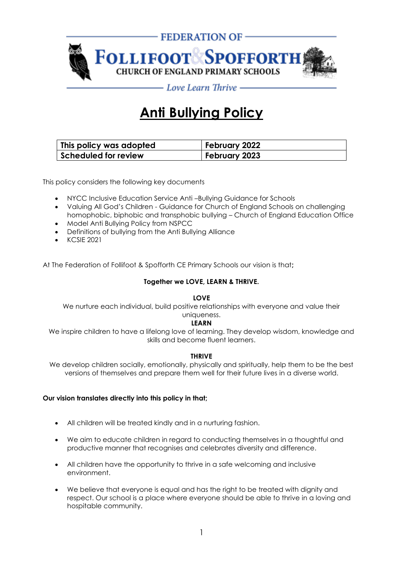

# **Anti Bullying Policy**

| This policy was adopted     | February 2022 |  |  |  |
|-----------------------------|---------------|--|--|--|
| <b>Scheduled for review</b> | February 2023 |  |  |  |

This policy considers the following key documents

- NYCC Inclusive Education Service Anti –Bullying Guidance for Schools
- Valuing All God's Children Guidance for Church of England Schools on challenging
- homophobic, biphobic and transphobic bullying Church of England Education Office • Model Anti Bullying Policy from NSPCC
- Definitions of bullying from the Anti Bullying Alliance
- KCSIE 2021

At The Federation of Follifoot & Spofforth CE Primary Schools our vision is that**;**

#### **Together we LOVE, LEARN & THRIVE.**

#### **LOVE**

We nurture each individual, build positive relationships with everyone and value their uniqueness.

#### **LEARN**

We inspire children to have a lifelong love of learning. They develop wisdom, knowledge and skills and become fluent learners.

#### **THRIVE**

We develop children socially, emotionally, physically and spiritually, help them to be the best versions of themselves and prepare them well for their future lives in a diverse world.

#### **Our vision translates directly into this policy in that;**

- All children will be treated kindly and in a nurturing fashion.
- We aim to educate children in regard to conducting themselves in a thoughtful and productive manner that recognises and celebrates diversity and difference.
- All children have the opportunity to thrive in a safe welcoming and inclusive environment.
- We believe that everyone is equal and has the right to be treated with dignity and respect. Our school is a place where everyone should be able to thrive in a loving and hospitable community.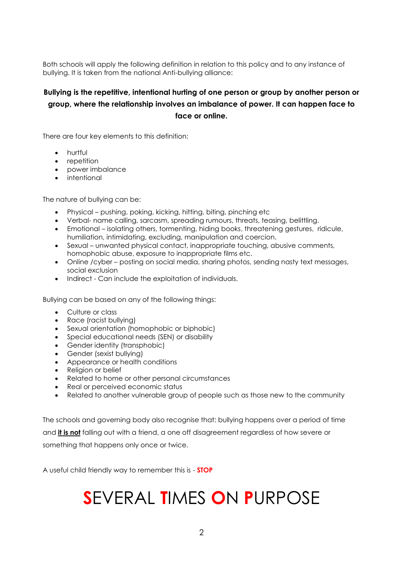Both schools will apply the following definition in relation to this policy and to any instance of bullying. It is taken from the national Anti-bullying alliance:

### **Bullying is the repetitive, intentional hurting of one person or group by another person or group, where the relationship involves an imbalance of power. It can happen face to face or online.**

There are four key elements to this definition:

- hurtful
- repetition
- power imbalance
- intentional

The nature of bullying can be:

- Physical pushing, poking, kicking, hitting, biting, pinching etc
- Verbal- name calling, sarcasm, spreading rumours, threats, teasing, belittling.
- Emotional isolating others, tormenting, hiding books, threatening gestures, ridicule, humiliation, intimidating, excluding, manipulation and coercion.
- Sexual unwanted physical contact, inappropriate touching, abusive comments, homophobic abuse, exposure to inappropriate films etc.
- Online /cyber posting on social media, sharing photos, sending nasty text messages, social exclusion
- Indirect Can include the exploitation of individuals.

Bullying can be based on any of the following things:

- Culture or class
- Race (racist bullying)
- Sexual orientation (homophobic or biphobic)
- Special educational needs (SEN) or disability
- Gender identity (transphobic)
- Gender (sexist bullying)
- Appearance or health conditions
- Religion or belief
- Related to home or other personal circumstances
- Real or perceived economic status
- Related to another vulnerable group of people such as those new to the community

The schools and governing body also recognise that: bullying happens over a period of time and **it is not** falling out with a friend, a one off disagreement regardless of how severe or something that happens only once or twice.

A useful child friendly way to remember this is - **STOP**

# **S**EVERAL **T**IMES **O**N **P**URPOSE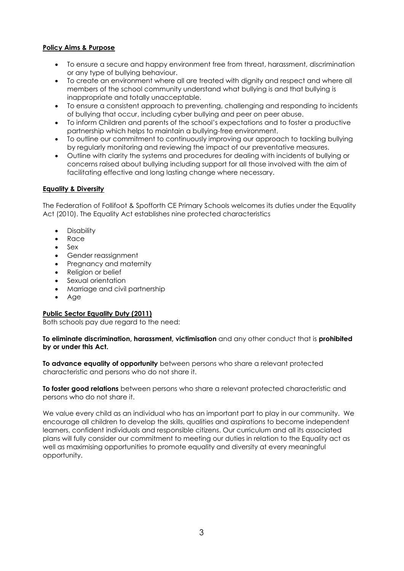#### **Policy Aims & Purpose**

- To ensure a secure and happy environment free from threat, harassment, discrimination or any type of bullying behaviour.
- To create an environment where all are treated with dignity and respect and where all members of the school community understand what bullying is and that bullying is inappropriate and totally unacceptable.
- To ensure a consistent approach to preventing, challenging and responding to incidents of bullying that occur, including cyber bullying and peer on peer abuse.
- To inform Children and parents of the school's expectations and to foster a productive partnership which helps to maintain a bullying-free environment.
- To outline our commitment to continuously improving our approach to tackling bullying by regularly monitoring and reviewing the impact of our preventative measures.
- Outline with clarity the systems and procedures for dealing with incidents of bullying or concerns raised about bullying including support for all those involved with the aim of facilitating effective and long lasting change where necessary.

#### **Equality & Diversity**

The Federation of Follifoot & Spofforth CE Primary Schools welcomes its duties under the Equality Act (2010). The Equality Act establishes nine protected characteristics

- Disability
- Race
- Sex
- Gender reassignment
- Pregnancy and maternity
- Religion or belief
- Sexual orientation
- Marriage and civil partnership
- Age

#### **Public Sector Equality Duty (2011)**

Both schools pay due regard to the need:

#### **To eliminate discrimination, harassment, victimisation** and any other conduct that is **prohibited by or under this Act.**

**To advance equality of opportunity** between persons who share a relevant protected characteristic and persons who do not share it.

**To foster good relations** between persons who share a relevant protected characteristic and persons who do not share it.

We value every child as an individual who has an important part to play in our community. We encourage all children to develop the skills, qualities and aspirations to become independent learners, confident individuals and responsible citizens. Our curriculum and all its associated plans will fully consider our commitment to meeting our duties in relation to the Equality act as well as maximising opportunities to promote equality and diversity at every meaningful opportunity.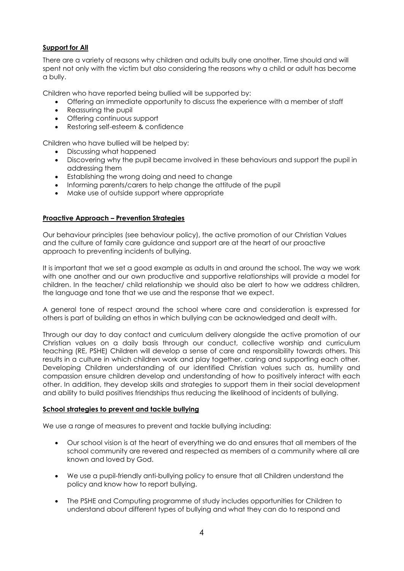### **Support for All**

There are a variety of reasons why children and adults bully one another. Time should and will spent not only with the victim but also considering the reasons why a child or adult has become a bully.

Children who have reported being bullied will be supported by:

- Offering an immediate opportunity to discuss the experience with a member of staff
- Reassuring the pupil
- Offering continuous support
- Restoring self-esteem & confidence

Children who have bullied will be helped by:

- Discussing what happened
- Discovering why the pupil became involved in these behaviours and support the pupil in addressing them
- Establishing the wrong doing and need to change
- Informing parents/carers to help change the attitude of the pupil
- Make use of outside support where appropriate

#### **Proactive Approach – Prevention Strategies**

Our behaviour principles (see behaviour policy), the active promotion of our Christian Values and the culture of family care guidance and support are at the heart of our proactive approach to preventing incidents of bullying.

It is important that we set a good example as adults in and around the school. The way we work with one another and our own productive and supportive relationships will provide a model for children. In the teacher/ child relationship we should also be alert to how we address children, the language and tone that we use and the response that we expect.

A general tone of respect around the school where care and consideration is expressed for others is part of building an ethos in which bullying can be acknowledged and dealt with.

Through our day to day contact and curriculum delivery alongside the active promotion of our Christian values on a daily basis through our conduct, collective worship and curriculum teaching (RE, PSHE) Children will develop a sense of care and responsibility towards others. This results in a culture in which children work and play together, caring and supporting each other. Developing Children understanding of our identified Christian values such as, humility and compassion ensure children develop and understanding of how to positively interact with each other. In addition, they develop skills and strategies to support them in their social development and ability to build positives friendships thus reducing the likelihood of incidents of bullying.

#### **School strategies to prevent and tackle bullying**

We use a range of measures to prevent and tackle bullying including:

- Our school vision is at the heart of everything we do and ensures that all members of the school community are revered and respected as members of a community where all are known and loved by God.
- We use a pupil-friendly anti-bullying policy to ensure that all Children understand the policy and know how to report bullying.
- The PSHE and Computing programme of study includes opportunities for Children to understand about different types of bullying and what they can do to respond and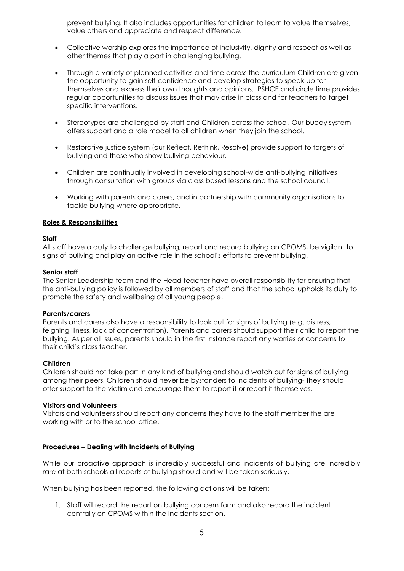prevent bullying. It also includes opportunities for children to learn to value themselves, value others and appreciate and respect difference.

- Collective worship explores the importance of inclusivity, dignity and respect as well as other themes that play a part in challenging bullying.
- Through a variety of planned activities and time across the curriculum Children are given the opportunity to gain self-confidence and develop strategies to speak up for themselves and express their own thoughts and opinions. PSHCE and circle time provides regular opportunities to discuss issues that may arise in class and for teachers to target specific interventions.
- Stereotypes are challenged by staff and Children across the school. Our buddy system offers support and a role model to all children when they join the school.
- Restorative justice system (our Reflect, Rethink, Resolve) provide support to targets of bullying and those who show bullying behaviour.
- Children are continually involved in developing school-wide anti-bullying initiatives through consultation with groups via class based lessons and the school council.
- Working with parents and carers, and in partnership with community organisations to tackle bullying where appropriate.

#### **Roles & Responsibilities**

#### **Staff**

All staff have a duty to challenge bullying, report and record bullying on CPOMS, be vigilant to signs of bullying and play an active role in the school's efforts to prevent bullying.

#### **Senior staff**

The Senior Leadership team and the Head teacher have overall responsibility for ensuring that the anti-bullying policy is followed by all members of staff and that the school upholds its duty to promote the safety and wellbeing of all young people.

#### **Parents/carers**

Parents and carers also have a responsibility to look out for signs of bullying (e.g. distress, feigning illness, lack of concentration). Parents and carers should support their child to report the bullying. As per all issues, parents should in the first instance report any worries or concerns to their child's class teacher.

#### **Children**

Children should not take part in any kind of bullying and should watch out for signs of bullying among their peers. Children should never be bystanders to incidents of bullying- they should offer support to the victim and encourage them to report it or report it themselves.

#### **Visitors and Volunteers**

Visitors and volunteers should report any concerns they have to the staff member the are working with or to the school office.

#### **Procedures – Dealing with Incidents of Bullying**

While our proactive approach is incredibly successful and incidents of bullying are incredibly rare at both schools all reports of bullying should and will be taken seriously.

When bullying has been reported, the following actions will be taken:

1. Staff will record the report on bullying concern form and also record the incident centrally on CPOMS within the Incidents section.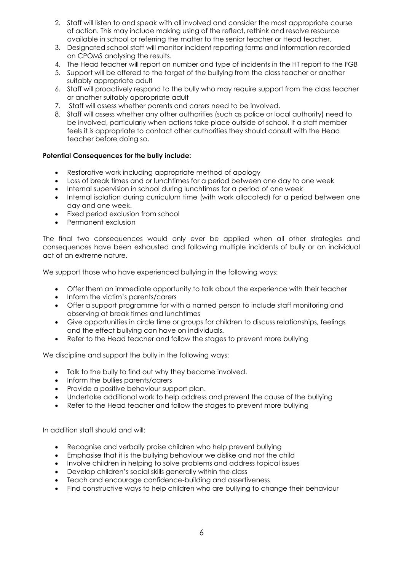- 2. Staff will listen to and speak with all involved and consider the most appropriate course of action. This may include making using of the reflect, rethink and resolve resource available in school or referring the matter to the senior teacher or Head teacher.
- 3. Designated school staff will monitor incident reporting forms and information recorded on CPOMS analysing the results.
- 4. The Head teacher will report on number and type of incidents in the HT report to the FGB
- 5. Support will be offered to the target of the bullying from the class teacher or another suitably appropriate adult
- 6. Staff will proactively respond to the bully who may require support from the class teacher or another suitably appropriate adult
- 7. Staff will assess whether parents and carers need to be involved.
- 8. Staff will assess whether any other authorities (such as police or local authority) need to be involved, particularly when actions take place outside of school. If a staff member feels it is appropriate to contact other authorities they should consult with the Head teacher before doing so.

### **Potential Consequences for the bully include:**

- Restorative work including appropriate method of apology
- Loss of break times and or lunchtimes for a period between one day to one week
- Internal supervision in school during lunchtimes for a period of one week
- Internal isolation during curriculum time (with work allocated) for a period between one day and one week.
- Fixed period exclusion from school
- Permanent exclusion

The final two consequences would only ever be applied when all other strategies and consequences have been exhausted and following multiple incidents of bully or an individual act of an extreme nature.

We support those who have experienced bullying in the following ways:

- Offer them an immediate opportunity to talk about the experience with their teacher
- Inform the victim's parents/carers
- Offer a support programme for with a named person to include staff monitoring and observing at break times and lunchtimes
- Give opportunities in circle time or groups for children to discuss relationships, feelings and the effect bullying can have on individuals.
- Refer to the Head teacher and follow the stages to prevent more bullying

We discipline and support the bully in the following ways:

- Talk to the bully to find out why they became involved.
- Inform the bullies parents/carers
- Provide a positive behaviour support plan.
- Undertake additional work to help address and prevent the cause of the bullying
- Refer to the Head teacher and follow the stages to prevent more bullying

In addition staff should and will:

- Recognise and verbally praise children who help prevent bullying
- Emphasise that it is the bullying behaviour we dislike and not the child
- Involve children in helping to solve problems and address topical issues
- Develop children's social skills generally within the class
- Teach and encourage confidence-building and assertiveness
- Find constructive ways to help children who are bullying to change their behaviour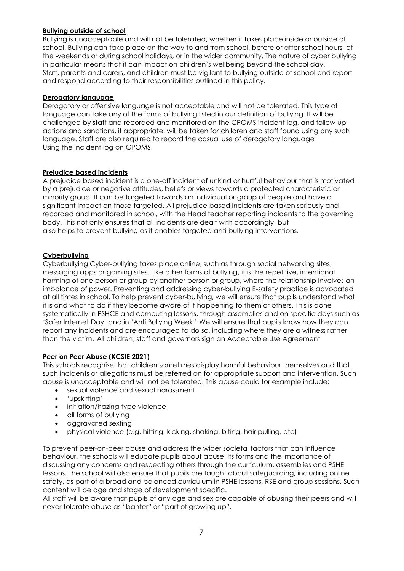#### **Bullying outside of school**

Bullying is unacceptable and will not be tolerated, whether it takes place inside or outside of school. Bullying can take place on the way to and from school, before or after school hours, at the weekends or during school holidays, or in the wider community. The nature of cyber bullying in particular means that it can impact on children's wellbeing beyond the school day. Staff, parents and carers, and children must be vigilant to bullying outside of school and report and respond according to their responsibilities outlined in this policy.

#### **Derogatory language**

Derogatory or offensive language is not acceptable and will not be tolerated. This type of language can take any of the forms of bullying listed in our definition of bullying. It will be challenged by staff and recorded and monitored on the CPOMS incident log, and follow up actions and sanctions, if appropriate, will be taken for children and staff found using any such language. Staff are also required to record the casual use of derogatory language Using the incident log on CPOMS.

#### **Prejudice based incidents**

A prejudice based incident is a one-off incident of unkind or hurtful behaviour that is motivated by a prejudice or negative attitudes, beliefs or views towards a protected characteristic or minority group. It can be targeted towards an individual or group of people and have a significant impact on those targeted. All prejudice based incidents are taken seriously and recorded and monitored in school, with the Head teacher reporting incidents to the governing body. This not only ensures that all incidents are dealt with accordingly, but also helps to prevent bullying as it enables targeted anti bullying interventions.

#### **Cyberbullying**

Cyberbullying Cyber-bullying takes place online, such as through social networking sites, messaging apps or gaming sites. Like other forms of bullying, it is the repetitive, intentional harming of one person or group by another person or group, where the relationship involves an imbalance of power. Preventing and addressing cyber-bullying E-safety practice is advocated at all times in school. To help prevent cyber-bullying, we will ensure that pupils understand what it is and what to do if they become aware of it happening to them or others. This is done systematically in PSHCE and computing lessons, through assemblies and on specific days such as 'Safer Internet Day' and in 'Anti Bullying Week.' We will ensure that pupils know how they can report any incidents and are encouraged to do so, including where they are a witness rather than the victim. All children, staff and governors sign an Acceptable Use Agreement

#### **Peer on Peer Abuse (KCSIE 2021)**

This schools recognise that children sometimes display harmful behaviour themselves and that such incidents or allegations must be referred on for appropriate support and intervention. Such abuse is unacceptable and will not be tolerated. This abuse could for example include:

- sexual violence and sexual harassment
- 'upskirting'
- initiation/hazing type violence
- all forms of bullying
- aggravated sexting
- physical violence (e.g. hitting, kicking, shaking, biting, hair pulling, etc)

To prevent peer-on-peer abuse and address the wider societal factors that can influence behaviour, the schools will educate pupils about abuse, its forms and the importance of discussing any concerns and respecting others through the curriculum, assemblies and PSHE lessons. The school will also ensure that pupils are taught about safeguarding, including online safety, as part of a broad and balanced curriculum in PSHE lessons, RSE and group sessions. Such content will be age and stage of development specific.

All staff will be aware that pupils of any age and sex are capable of abusing their peers and will never tolerate abuse as "banter" or "part of growing up".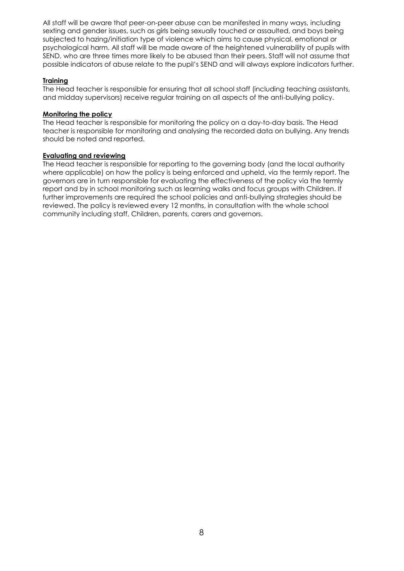All staff will be aware that peer-on-peer abuse can be manifested in many ways, including sexting and gender issues, such as girls being sexually touched or assaulted, and boys being subjected to hazing/initiation type of violence which aims to cause physical, emotional or psychological harm. All staff will be made aware of the heightened vulnerability of pupils with SEND, who are three times more likely to be abused than their peers. Staff will not assume that possible indicators of abuse relate to the pupil's SEND and will always explore indicators further.

#### **Training**

The Head teacher is responsible for ensuring that all school staff (including teaching assistants, and midday supervisors) receive regular training on all aspects of the anti-bullying policy.

#### **Monitoring the policy**

The Head teacher is responsible for monitoring the policy on a day-to-day basis. The Head teacher is responsible for monitoring and analysing the recorded data on bullying. Any trends should be noted and reported.

#### **Evaluating and reviewing**

The Head teacher is responsible for reporting to the governing body (and the local authority where applicable) on how the policy is being enforced and upheld, via the termly report. The governors are in turn responsible for evaluating the effectiveness of the policy via the termly report and by in school monitoring such as learning walks and focus groups with Children. If further improvements are required the school policies and anti-bullying strategies should be reviewed. The policy is reviewed every 12 months, in consultation with the whole school community including staff, Children, parents, carers and governors.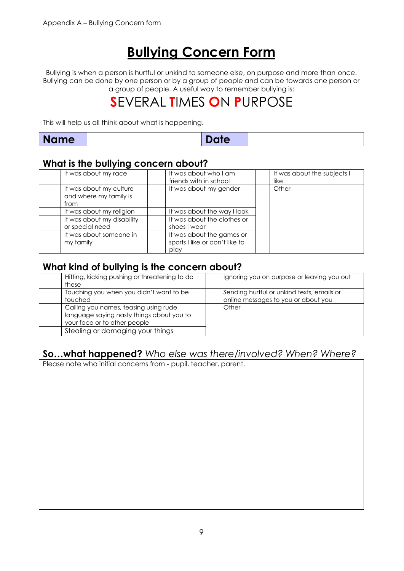# **Bullying Concern Form**

Bullying is when a person is hurtful or unkind to someone else, on purpose and more than once. Bullying can be done by one person or by a group of people and can be towards one person or a group of people. A useful way to remember bullying is;

# **S**EVERAL **T**IMES **O**N **P**URPOSE

This will help us all think about what is happening.

| <b>Name</b><br>Date |
|---------------------|
|---------------------|

# **What is the bullying concern about?**

| It was about my race                                      | It was about who I am<br>friends with in school                     | It was about the subjects I<br>like |
|-----------------------------------------------------------|---------------------------------------------------------------------|-------------------------------------|
| It was about my culture<br>and where my family is<br>from | It was about my gender                                              | Other                               |
| It was about my religion                                  | It was about the way I look                                         |                                     |
| It was about my disability<br>or special need             | It was about the clothes or<br>shoes I wear                         |                                     |
| It was about someone in<br>my family                      | It was about the games or<br>sports I like or don't like to<br>play |                                     |

### **What kind of bullying is the concern about?**

| Hitting, kicking pushing or threatening to do<br>these                                                             | Ignoring you on purpose or leaving you out                                        |
|--------------------------------------------------------------------------------------------------------------------|-----------------------------------------------------------------------------------|
| Touching you when you didn't want to be<br>touched                                                                 | Sending hurtful or unkind texts, emails or<br>online messages to you or about you |
| Calling you names, teasing using rude<br>language saying nasty things about you to<br>your face or to other people | Other                                                                             |
| Stealing or damaging your things                                                                                   |                                                                                   |

# **So…what happened?** *Who else was there/involved? When? Where?*

Please note who initial concerns from - pupil, teacher, parent.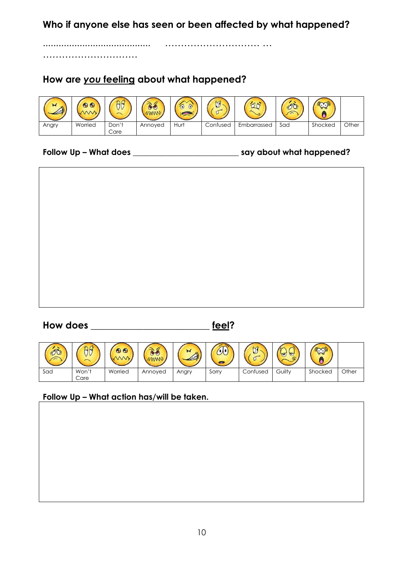**Who if anyone else has seen or been affected by what happened?**

......................................... ………………………… …

………………………………

# **How are** *you* **feeling about what happened?**

| ৰ<br>$\mathbb{A}^{\prime}$ | $\bigoplus$ | H             | <b>AMA</b> |      | $\sim$   |             | $\sim$ |         |       |
|----------------------------|-------------|---------------|------------|------|----------|-------------|--------|---------|-------|
| Angry                      | Worried     | Don't<br>Care | Annoyed    | Hurt | Confused | Embarrassed | Sad    | Shocked | Other |

### **Follow Up – What does \_\_\_\_\_\_\_\_\_\_\_\_\_\_\_\_\_\_\_\_\_\_\_\_\_\_ say about what happened?**



## **How does \_\_\_\_\_\_\_\_\_\_\_\_\_\_\_\_\_\_\_\_\_\_\_\_\_ feel?**

| $\overline{AB}$ |               | $\mathbf{\Theta}$ |         | $\sim$<br>MI | $\sim$ |          | ಠ<br>$\blacktriangledown$ |         |       |
|-----------------|---------------|-------------------|---------|--------------|--------|----------|---------------------------|---------|-------|
| Sad             | Won't<br>Care | Worried           | Annoyed | Angry        | Sorry  | Confused | Guilty                    | Shocked | Other |

### **Follow Up – What action has/will be taken.**

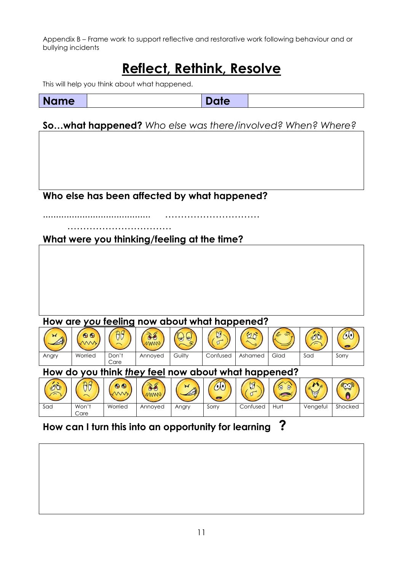Appendix B – Frame work to support reflective and restorative work following behaviour and or bullying incidents

# **Reflect, Rethink, Resolve**

This will help you think about what happened.

| <b>Name</b> | m |  |
|-------------|---|--|
|             |   |  |

**So…what happened?** *Who else was there/involved? When? Where?*

**Who else has been affected by what happened?**

......................................... …………………………

**What were you thinking/feeling at the time?**

……………………………

# **How are** *you* **feeling now about what happened?**



# **How can I turn this into an opportunity for learning ?**